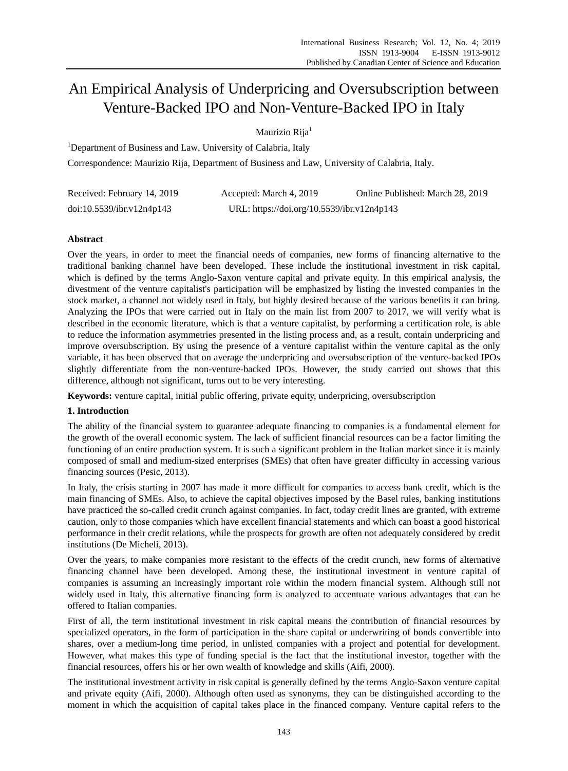# An Empirical Analysis of Underpricing and Oversubscription between Venture-Backed IPO and Non-Venture-Backed IPO in Italy

Maurizio Rija<sup>1</sup>

<sup>1</sup>Department of Business and Law, University of Calabria, Italy

Correspondence: Maurizio Rija, Department of Business and Law, University of Calabria, Italy.

| Received: February 14, 2019 | Accepted: March 4, 2019                    | Online Published: March 28, 2019 |
|-----------------------------|--------------------------------------------|----------------------------------|
| doi:10.5539/ibr.v12n4p143   | URL: https://doi.org/10.5539/ibr.v12n4p143 |                                  |

## **Abstract**

Over the years, in order to meet the financial needs of companies, new forms of financing alternative to the traditional banking channel have been developed. These include the institutional investment in risk capital, which is defined by the terms Anglo-Saxon venture capital and private equity. In this empirical analysis, the divestment of the venture capitalist's participation will be emphasized by listing the invested companies in the stock market, a channel not widely used in Italy, but highly desired because of the various benefits it can bring. Analyzing the IPOs that were carried out in Italy on the main list from 2007 to 2017, we will verify what is described in the economic literature, which is that a venture capitalist, by performing a certification role, is able to reduce the information asymmetries presented in the listing process and, as a result, contain underpricing and improve oversubscription. By using the presence of a venture capitalist within the venture capital as the only variable, it has been observed that on average the underpricing and oversubscription of the venture-backed IPOs slightly differentiate from the non-venture-backed IPOs. However, the study carried out shows that this difference, although not significant, turns out to be very interesting.

**Keywords:** venture capital, initial public offering, private equity, underpricing, oversubscription

## **1. Introduction**

The ability of the financial system to guarantee adequate financing to companies is a fundamental element for the growth of the overall economic system. The lack of sufficient financial resources can be a factor limiting the functioning of an entire production system. It is such a significant problem in the Italian market since it is mainly composed of small and medium-sized enterprises (SMEs) that often have greater difficulty in accessing various financing sources (Pesic, 2013).

In Italy, the crisis starting in 2007 has made it more difficult for companies to access bank credit, which is the main financing of SMEs. Also, to achieve the capital objectives imposed by the Basel rules, banking institutions have practiced the so-called credit crunch against companies. In fact, today credit lines are granted, with extreme caution, only to those companies which have excellent financial statements and which can boast a good historical performance in their credit relations, while the prospects for growth are often not adequately considered by credit institutions (De Micheli, 2013).

Over the years, to make companies more resistant to the effects of the credit crunch, new forms of alternative financing channel have been developed. Among these, the institutional investment in venture capital of companies is assuming an increasingly important role within the modern financial system. Although still not widely used in Italy, this alternative financing form is analyzed to accentuate various advantages that can be offered to Italian companies.

First of all, the term institutional investment in risk capital means the contribution of financial resources by specialized operators, in the form of participation in the share capital or underwriting of bonds convertible into shares, over a medium-long time period, in unlisted companies with a project and potential for development. However, what makes this type of funding special is the fact that the institutional investor, together with the financial resources, offers his or her own wealth of knowledge and skills (Aifi, 2000).

The institutional investment activity in risk capital is generally defined by the terms Anglo-Saxon venture capital and private equity (Aifi, 2000). Although often used as synonyms, they can be distinguished according to the moment in which the acquisition of capital takes place in the financed company. Venture capital refers to the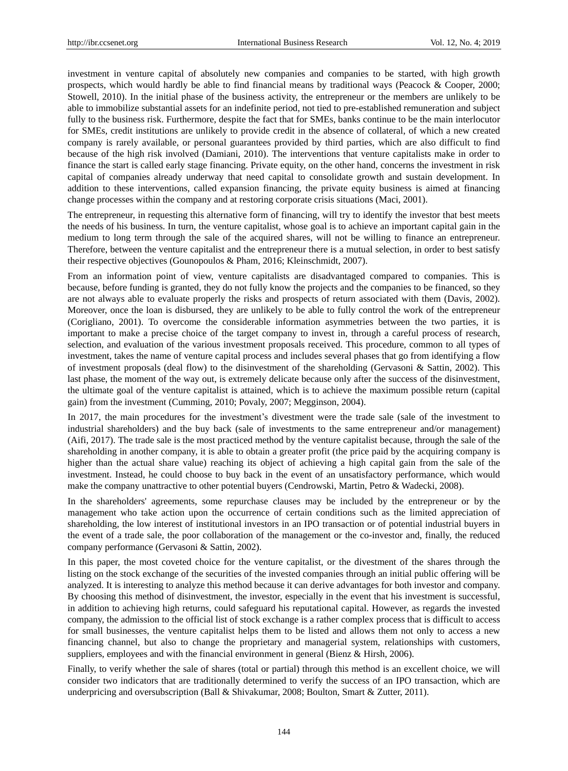investment in venture capital of absolutely new companies and companies to be started, with high growth prospects, which would hardly be able to find financial means by traditional ways (Peacock & Cooper, 2000; Stowell, 2010). In the initial phase of the business activity, the entrepreneur or the members are unlikely to be able to immobilize substantial assets for an indefinite period, not tied to pre-established remuneration and subject fully to the business risk. Furthermore, despite the fact that for SMEs, banks continue to be the main interlocutor for SMEs, credit institutions are unlikely to provide credit in the absence of collateral, of which a new created company is rarely available, or personal guarantees provided by third parties, which are also difficult to find because of the high risk involved (Damiani, 2010). The interventions that venture capitalists make in order to finance the start is called early stage financing. Private equity, on the other hand, concerns the investment in risk capital of companies already underway that need capital to consolidate growth and sustain development. In addition to these interventions, called expansion financing, the private equity business is aimed at financing change processes within the company and at restoring corporate crisis situations (Maci, 2001).

The entrepreneur, in requesting this alternative form of financing, will try to identify the investor that best meets the needs of his business. In turn, the venture capitalist, whose goal is to achieve an important capital gain in the medium to long term through the sale of the acquired shares, will not be willing to finance an entrepreneur. Therefore, between the venture capitalist and the entrepreneur there is a mutual selection, in order to best satisfy their respective objectives (Gounopoulos & Pham, 2016; Kleinschmidt, 2007).

From an information point of view, venture capitalists are disadvantaged compared to companies. This is because, before funding is granted, they do not fully know the projects and the companies to be financed, so they are not always able to evaluate properly the risks and prospects of return associated with them (Davis, 2002). Moreover, once the loan is disbursed, they are unlikely to be able to fully control the work of the entrepreneur (Corigliano, 2001). To overcome the considerable information asymmetries between the two parties, it is important to make a precise choice of the target company to invest in, through a careful process of research, selection, and evaluation of the various investment proposals received. This procedure, common to all types of investment, takes the name of venture capital process and includes several phases that go from identifying a flow of investment proposals (deal flow) to the disinvestment of the shareholding (Gervasoni & Sattin, 2002). This last phase, the moment of the way out, is extremely delicate because only after the success of the disinvestment, the ultimate goal of the venture capitalist is attained, which is to achieve the maximum possible return (capital gain) from the investment (Cumming, 2010; Povaly, 2007; Megginson, 2004).

In 2017, the main procedures for the investment's divestment were the trade sale (sale of the investment to industrial shareholders) and the buy back (sale of investments to the same entrepreneur and/or management) (Aifi, 2017). The trade sale is the most practiced method by the venture capitalist because, through the sale of the shareholding in another company, it is able to obtain a greater profit (the price paid by the acquiring company is higher than the actual share value) reaching its object of achieving a high capital gain from the sale of the investment. Instead, he could choose to buy back in the event of an unsatisfactory performance, which would make the company unattractive to other potential buyers (Cendrowski, Martin, Petro & Wadecki, 2008).

In the shareholders' agreements, some repurchase clauses may be included by the entrepreneur or by the management who take action upon the occurrence of certain conditions such as the limited appreciation of shareholding, the low interest of institutional investors in an IPO transaction or of potential industrial buyers in the event of a trade sale, the poor collaboration of the management or the co-investor and, finally, the reduced company performance (Gervasoni & Sattin, 2002).

In this paper, the most coveted choice for the venture capitalist, or the divestment of the shares through the listing on the stock exchange of the securities of the invested companies through an initial public offering will be analyzed. It is interesting to analyze this method because it can derive advantages for both investor and company. By choosing this method of disinvestment, the investor, especially in the event that his investment is successful, in addition to achieving high returns, could safeguard his reputational capital. However, as regards the invested company, the admission to the official list of stock exchange is a rather complex process that is difficult to access for small businesses, the venture capitalist helps them to be listed and allows them not only to access a new financing channel, but also to change the proprietary and managerial system, relationships with customers, suppliers, employees and with the financial environment in general (Bienz & Hirsh, 2006).

Finally, to verify whether the sale of shares (total or partial) through this method is an excellent choice, we will consider two indicators that are traditionally determined to verify the success of an IPO transaction, which are underpricing and oversubscription (Ball & Shivakumar, 2008; Boulton, Smart & Zutter, 2011).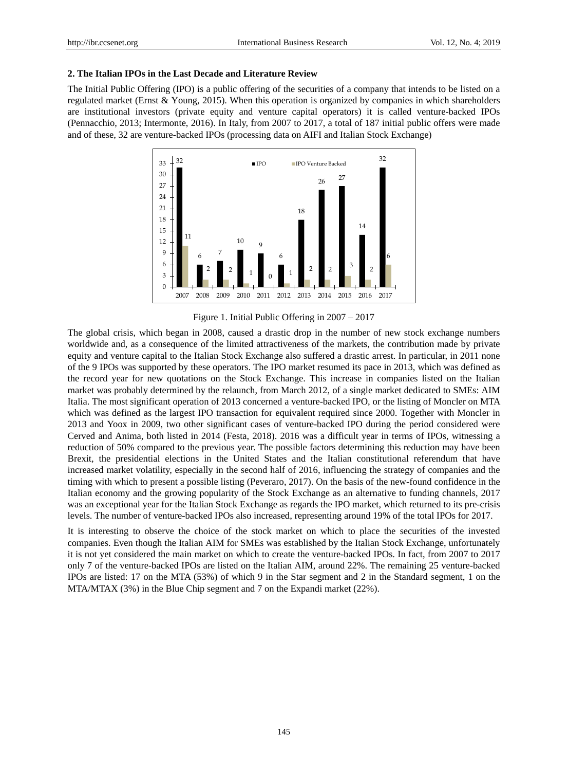### **2. The Italian IPOs in the Last Decade and Literature Review**

The Initial Public Offering (IPO) is a public offering of the securities of a company that intends to be listed on a regulated market (Ernst & Young, 2015). When this operation is organized by companies in which shareholders are institutional investors (private equity and venture capital operators) it is called venture-backed IPOs (Pennacchio, 2013; Intermonte, 2016). In Italy, from 2007 to 2017, a total of 187 initial public offers were made and of these, 32 are venture-backed IPOs (processing data on AIFI and Italian Stock Exchange)



Figure 1. Initial Public Offering in 2007 – 2017

The global crisis, which began in 2008, caused a drastic drop in the number of new stock exchange numbers worldwide and, as a consequence of the limited attractiveness of the markets, the contribution made by private equity and venture capital to the Italian Stock Exchange also suffered a drastic arrest. In particular, in 2011 none of the 9 IPOs was supported by these operators. The IPO market resumed its pace in 2013, which was defined as the record year for new quotations on the Stock Exchange. This increase in companies listed on the Italian market was probably determined by the relaunch, from March 2012, of a single market dedicated to SMEs: AIM Italia. The most significant operation of 2013 concerned a venture-backed IPO, or the listing of Moncler on MTA which was defined as the largest IPO transaction for equivalent required since 2000. Together with Moncler in 2013 and Yoox in 2009, two other significant cases of venture-backed IPO during the period considered were Cerved and Anima, both listed in 2014 (Festa, 2018). 2016 was a difficult year in terms of IPOs, witnessing a reduction of 50% compared to the previous year. The possible factors determining this reduction may have been Brexit, the presidential elections in the United States and the Italian constitutional referendum that have increased market volatility, especially in the second half of 2016, influencing the strategy of companies and the timing with which to present a possible listing (Peveraro, 2017). On the basis of the new-found confidence in the Italian economy and the growing popularity of the Stock Exchange as an alternative to funding channels, 2017 was an exceptional year for the Italian Stock Exchange as regards the IPO market, which returned to its pre-crisis levels. The number of venture-backed IPOs also increased, representing around 19% of the total IPOs for 2017.

It is interesting to observe the choice of the stock market on which to place the securities of the invested companies. Even though the Italian AIM for SMEs was established by the Italian Stock Exchange, unfortunately it is not yet considered the main market on which to create the venture-backed IPOs. In fact, from 2007 to 2017 only 7 of the venture-backed IPOs are listed on the Italian AIM, around 22%. The remaining 25 venture-backed IPOs are listed: 17 on the MTA (53%) of which 9 in the Star segment and 2 in the Standard segment, 1 on the MTA/MTAX (3%) in the Blue Chip segment and 7 on the Expandi market (22%).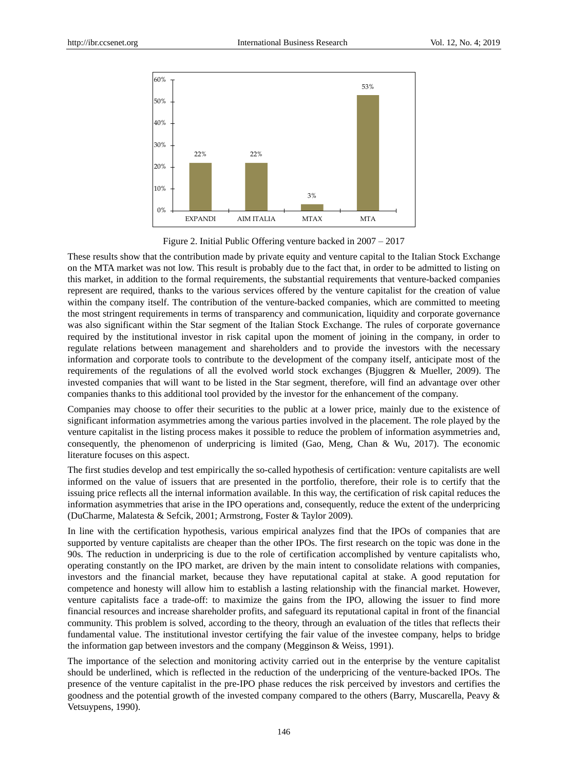

Figure 2. Initial Public Offering venture backed in 2007 – 2017

These results show that the contribution made by private equity and venture capital to the Italian Stock Exchange on the MTA market was not low. This result is probably due to the fact that, in order to be admitted to listing on this market, in addition to the formal requirements, the substantial requirements that venture-backed companies represent are required, thanks to the various services offered by the venture capitalist for the creation of value within the company itself. The contribution of the venture-backed companies, which are committed to meeting the most stringent requirements in terms of transparency and communication, liquidity and corporate governance was also significant within the Star segment of the Italian Stock Exchange. The rules of corporate governance required by the institutional investor in risk capital upon the moment of joining in the company, in order to regulate relations between management and shareholders and to provide the investors with the necessary information and corporate tools to contribute to the development of the company itself, anticipate most of the requirements of the regulations of all the evolved world stock exchanges (Bjuggren & Mueller, 2009). The invested companies that will want to be listed in the Star segment, therefore, will find an advantage over other companies thanks to this additional tool provided by the investor for the enhancement of the company.

Companies may choose to offer their securities to the public at a lower price, mainly due to the existence of significant information asymmetries among the various parties involved in the placement. The role played by the venture capitalist in the listing process makes it possible to reduce the problem of information asymmetries and, consequently, the phenomenon of underpricing is limited (Gao, Meng, Chan & Wu, 2017). The economic literature focuses on this aspect.

The first studies develop and test empirically the so-called hypothesis of certification: venture capitalists are well informed on the value of issuers that are presented in the portfolio, therefore, their role is to certify that the issuing price reflects all the internal information available. In this way, the certification of risk capital reduces the information asymmetries that arise in the IPO operations and, consequently, reduce the extent of the underpricing (DuCharme, Malatesta & Sefcik, 2001; Armstrong, Foster & Taylor 2009).

In line with the certification hypothesis, various empirical analyzes find that the IPOs of companies that are supported by venture capitalists are cheaper than the other IPOs. The first research on the topic was done in the 90s. The reduction in underpricing is due to the role of certification accomplished by venture capitalists who, operating constantly on the IPO market, are driven by the main intent to consolidate relations with companies, investors and the financial market, because they have reputational capital at stake. A good reputation for competence and honesty will allow him to establish a lasting relationship with the financial market. However, venture capitalists face a trade-off: to maximize the gains from the IPO, allowing the issuer to find more financial resources and increase shareholder profits, and safeguard its reputational capital in front of the financial community. This problem is solved, according to the theory, through an evaluation of the titles that reflects their fundamental value. The institutional investor certifying the fair value of the investee company, helps to bridge the information gap between investors and the company (Megginson & Weiss, 1991).

The importance of the selection and monitoring activity carried out in the enterprise by the venture capitalist should be underlined, which is reflected in the reduction of the underpricing of the venture-backed IPOs. The presence of the venture capitalist in the pre-IPO phase reduces the risk perceived by investors and certifies the goodness and the potential growth of the invested company compared to the others (Barry, Muscarella, Peavy & Vetsuypens, 1990).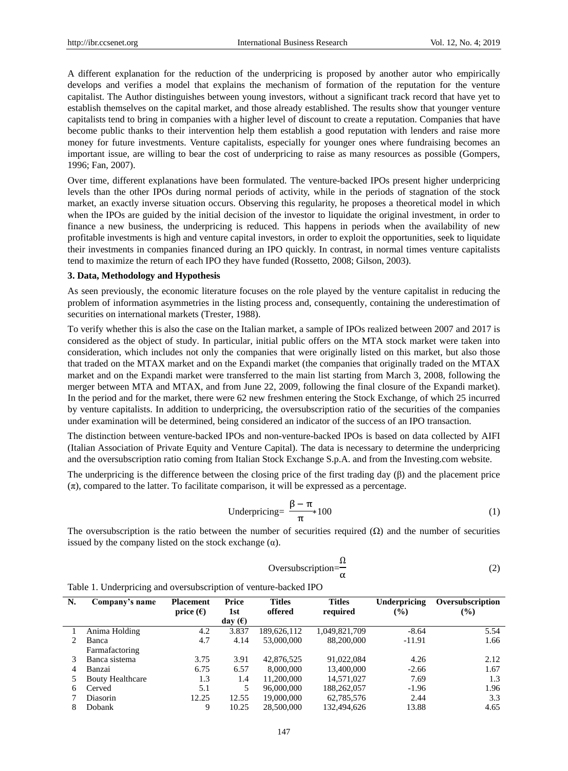A different explanation for the reduction of the underpricing is proposed by another autor who empirically develops and verifies a model that explains the mechanism of formation of the reputation for the venture capitalist. The Author distinguishes between young investors, without a significant track record that have yet to establish themselves on the capital market, and those already established. The results show that younger venture capitalists tend to bring in companies with a higher level of discount to create a reputation. Companies that have become public thanks to their intervention help them establish a good reputation with lenders and raise more money for future investments. Venture capitalists, especially for younger ones where fundraising becomes an important issue, are willing to bear the cost of underpricing to raise as many resources as possible (Gompers, 1996; Fan, 2007).

Over time, different explanations have been formulated. The venture-backed IPOs present higher underpricing levels than the other IPOs during normal periods of activity, while in the periods of stagnation of the stock market, an exactly inverse situation occurs. Observing this regularity, he proposes a theoretical model in which when the IPOs are guided by the initial decision of the investor to liquidate the original investment, in order to finance a new business, the underpricing is reduced. This happens in periods when the availability of new profitable investments is high and venture capital investors, in order to exploit the opportunities, seek to liquidate their investments in companies financed during an IPO quickly. In contrast, in normal times venture capitalists tend to maximize the return of each IPO they have funded (Rossetto, 2008; Gilson, 2003).

#### **3. Data, Methodology and Hypothesis**

As seen previously, the economic literature focuses on the role played by the venture capitalist in reducing the problem of information asymmetries in the listing process and, consequently, containing the underestimation of securities on international markets (Trester, 1988).

To verify whether this is also the case on the Italian market, a sample of IPOs realized between 2007 and 2017 is considered as the object of study. In particular, initial public offers on the MTA stock market were taken into consideration, which includes not only the companies that were originally listed on this market, but also those that traded on the MTAX market and on the Expandi market (the companies that originally traded on the MTAX market and on the Expandi market were transferred to the main list starting from March 3, 2008, following the merger between MTA and MTAX, and from June 22, 2009, following the final closure of the Expandi market). In the period and for the market, there were 62 new freshmen entering the Stock Exchange, of which 25 incurred by venture capitalists. In addition to underpricing, the oversubscription ratio of the securities of the companies under examination will be determined, being considered an indicator of the success of an IPO transaction.

The distinction between venture-backed IPOs and non-venture-backed IPOs is based on data collected by AIFI (Italian Association of Private Equity and Venture Capital). The data is necessary to determine the underpricing and the oversubscription ratio coming from Italian Stock Exchange S.p.A. and from the Investing.com website.

The underpricing is the difference between the closing price of the first trading day (β) and the placement price  $(\pi)$ , compared to the latter. To facilitate comparison, it will be expressed as a percentage.

$$
Under pricing = \frac{\beta - \pi}{\pi} * 100
$$
 (1)

The oversubscription is the ratio between the number of securities required  $(\Omega)$  and the number of securities issued by the company listed on the stock exchange  $(\alpha)$ .

$$
Oversubscription = \frac{\Omega}{\alpha}
$$
 (2)

|  | Table 1. Underpricing and oversubscription of venture-backed IPO |
|--|------------------------------------------------------------------|
|  |                                                                  |

| N. | Company's name          | <b>Placement</b>   | Price     | <b>Titles</b> | <b>Titles</b> | Underpricing  | Oversubscription |
|----|-------------------------|--------------------|-----------|---------------|---------------|---------------|------------------|
|    |                         | price $(\epsilon)$ | 1st       | offered       | required      | $\frac{9}{6}$ | (%)              |
|    |                         |                    | day $(E)$ |               |               |               |                  |
|    | Anima Holding           | 4.2                | 3.837     | 189.626.112   | 1,049,821,709 | $-8.64$       | 5.54             |
|    | Banca                   | 4.7                | 4.14      | 53,000,000    | 88,200,000    | $-11.91$      | 1.66             |
|    | Farmafactoring          |                    |           |               |               |               |                  |
|    | Banca sistema           | 3.75               | 3.91      | 42,876,525    | 91.022.084    | 4.26          | 2.12             |
| 4  | Banzai                  | 6.75               | 6.57      | 8,000,000     | 13,400,000    | $-2.66$       | 1.67             |
|    | <b>Bouty Healthcare</b> | 1.3                | 1.4       | 11.200.000    | 14.571.027    | 7.69          | 1.3              |
| 6  | Cerved                  | 5.1                | 5         | 96,000,000    | 188,262,057   | $-1.96$       | 1.96             |
|    | Diasorin                | 12.25              | 12.55     | 19,000,000    | 62,785,576    | 2.44          | 3.3              |
| 8  | Dobank                  | 9                  | 10.25     | 28,500,000    | 132.494.626   | 13.88         | 4.65             |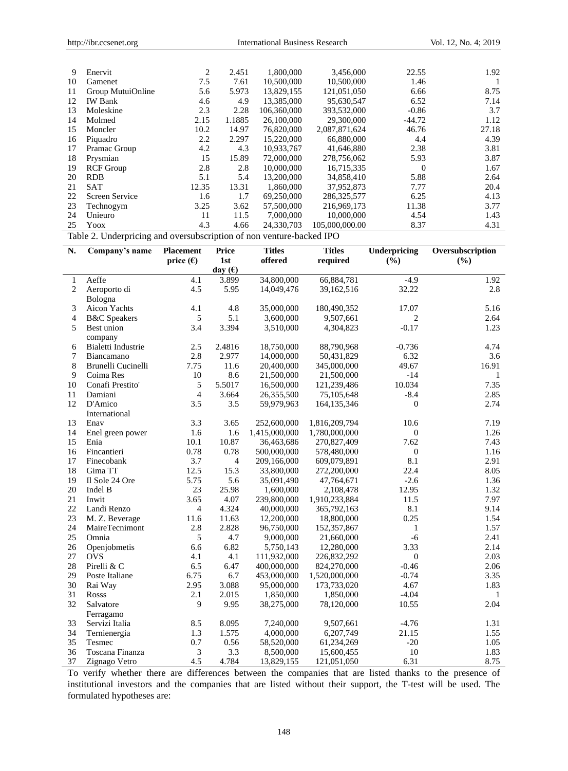| 9  | Enervit           | 2     | 2.451  | 1,800,000   | 3,456,000      | 22.55    | 1.92  |
|----|-------------------|-------|--------|-------------|----------------|----------|-------|
| 10 | Gamenet           | 7.5   | 7.61   | 10,500,000  | 10,500,000     | 1.46     |       |
| 11 | Group MutuiOnline | 5.6   | 5.973  | 13.829.155  | 121.051.050    | 6.66     | 8.75  |
| 12 | <b>IW Bank</b>    | 4.6   | 4.9    | 13,385,000  | 95,630,547     | 6.52     | 7.14  |
| 13 | Moleskine         | 2.3   | 2.28   | 106.360,000 | 393,532,000    | $-0.86$  | 3.7   |
| 14 | Molmed            | 2.15  | 1.1885 | 26,100,000  | 29,300,000     | $-44.72$ | 1.12  |
| 15 | Moncler           | 10.2  | 14.97  | 76,820,000  | 2,087,871,624  | 46.76    | 27.18 |
| 16 | Piquadro          | 2.2   | 2.297  | 15,220,000  | 66,880,000     | 4.4      | 4.39  |
| 17 | Pramac Group      | 4.2   | 4.3    | 10.933.767  | 41,646,880     | 2.38     | 3.81  |
| 18 | Prysmian          | 15    | 15.89  | 72,000,000  | 278,756,062    | 5.93     | 3.87  |
| 19 | <b>RCF</b> Group  | 2.8   | 2.8    | 10,000,000  | 16,715,335     | $\Omega$ | 1.67  |
| 20 | <b>RDB</b>        | 5.1   | 5.4    | 13,200,000  | 34,858,410     | 5.88     | 2.64  |
| 21 | <b>SAT</b>        | 12.35 | 13.31  | 1.860,000   | 37,952,873     | 7.77     | 20.4  |
| 22 | Screen Service    | 1.6   | 1.7    | 69.250,000  | 286, 325, 577  | 6.25     | 4.13  |
| 23 | Technogym         | 3.25  | 3.62   | 57,500,000  | 216,969,173    | 11.38    | 3.77  |
| 24 | Unieuro           | 11    | 11.5   | 7,000,000   | 10,000,000     | 4.54     | 1.43  |
| 25 | Yoox              | 4.3   | 4.66   | 24,330,703  | 105,000,000.00 | 8.37     | 4.31  |

Table 2. Underpricing and oversubscription of non venture-backed IPO

| N.               | Company's name          | <b>Placement</b> | Price     | <b>Titles</b> | <b>Titles</b> | <b>Underpricing</b> | Oversubscription |
|------------------|-------------------------|------------------|-----------|---------------|---------------|---------------------|------------------|
|                  |                         | price $(E)$      | 1st       | offered       | required      | (%)                 | (%)              |
|                  |                         |                  | day $(f)$ |               |               |                     |                  |
| $\mathbf{1}$     | Aeffe                   | 4.1              | 3.899     | 34,800,000    | 66,884,781    | $-4.9$              | 1.92             |
| $\overline{c}$   | Aeroporto di            | 4.5              | 5.95      | 14,049,476    | 39,162,516    | 32.22               | 2.8              |
|                  | Bologna                 |                  |           |               |               |                     |                  |
| 3                | Aicon Yachts            | 4.1              | 4.8       | 35,000,000    | 180,490,352   | 17.07               | 5.16             |
| $\overline{4}$   | <b>B&amp;C</b> Speakers | 5                | 5.1       | 3,600,000     | 9,507,661     | $\overline{c}$      | 2.64             |
| 5                | Best union              | 3.4              | 3.394     | 3,510,000     | 4,304,823     | $-0.17$             | 1.23             |
|                  | company                 |                  |           |               |               |                     |                  |
| 6                | Bialetti Industrie      | 2.5              | 2.4816    | 18,750,000    | 88,790,968    | $-0.736$            | 4.74             |
| $\boldsymbol{7}$ | Biancamano              | 2.8              | 2.977     | 14,000,000    | 50,431,829    | 6.32                | 3.6              |
| $\,8\,$          | Brunelli Cucinelli      | 7.75             | 11.6      | 20,400,000    | 345,000,000   | 49.67               | 16.91            |
| 9                | Coima Res               | 10               | 8.6       | 21,500,000    | 21,500,000    | $-14$               | 1                |
| 10               | Conafi Prestito'        | 5                | 5.5017    | 16,500,000    | 121,239,486   | 10.034              | 7.35             |
| 11               | Damiani                 | $\overline{4}$   | 3.664     | 26,355,500    | 75,105,648    | $-8.4$              | 2.85             |
| 12               | D'Amico                 | 3.5              | 3.5       | 59,979,963    | 164, 135, 346 | $\mathbf{0}$        | 2.74             |
|                  | International           |                  |           |               |               |                     |                  |
| 13               | Enav                    | 3.3              | 3.65      | 252,600,000   | 1,816,209,794 | 10.6                | 7.19             |
| 14               | Enel green power        | 1.6              | 1.6       | 1,415,000,000 | 1,780,000,000 | $\mathbf{0}$        | 1.26             |
| 15               | Enia                    | 10.1             | 10.87     | 36,463,686    | 270,827,409   | 7.62                | 7.43             |
| 16               | Fincantieri             | 0.78             | 0.78      | 500,000,000   | 578,480,000   | $\boldsymbol{0}$    | 1.16             |
| 17               | Finecobank              | 3.7              | 4         | 209,166,000   | 609,079,891   | 8.1                 | 2.91             |
| 18               | Gima TT                 | 12.5             | 15.3      | 33,800,000    | 272,200,000   | 22.4                | 8.05             |
| 19               | Il Sole 24 Ore          | 5.75             | 5.6       | 35,091,490    | 47,764,671    | $-2.6$              | 1.36             |
| 20               | Indel B                 | 23               | 25.98     | 1,600,000     | 2,108,478     | 12.95               | 1.32             |
| 21               | Inwit                   | 3.65             | 4.07      | 239,800,000   | 1,910,233,884 | 11.5                | 7.97             |
| 22               | Landi Renzo             | $\overline{4}$   | 4.324     | 40,000,000    | 365,792,163   | 8.1                 | 9.14             |
| 23               | M. Z. Beverage          | 11.6             | 11.63     | 12,200,000    | 18,800,000    | 0.25                | 1.54             |
| 24               | <b>MaireTecnimont</b>   | 2.8              | 2.828     | 96,750,000    | 152, 357, 867 | 1                   | 1.57             |
| 25               | Omnia                   | 5                | 4.7       | 9,000,000     | 21,660,000    | $-6$                | 2.41             |
| 26               | Openjobmetis            | 6.6              | 6.82      | 5,750,143     | 12,280,000    | 3.33                | 2.14             |
| 27               | <b>OVS</b>              | 4.1              | 4.1       | 111,932,000   | 226,832,292   | $\mathbf{0}$        | 2.03             |
| 28               | Pirelli & C             | 6.5              | 6.47      | 400,000,000   | 824,270,000   | $-0.46$             | 2.06             |
| 29               | Poste Italiane          | 6.75             | 6.7       | 453,000,000   | 1,520,000,000 | $-0.74$             | 3.35             |
| 30               | Rai Way                 | 2.95             | 3.088     | 95,000,000    | 173,733,020   | 4.67                | 1.83             |
| 31               | Rosss                   | 2.1              | 2.015     | 1,850,000     | 1,850,000     | $-4.04$             | 1                |
| 32               | Salvatore               | 9                | 9.95      | 38,275,000    | 78,120,000    | 10.55               | 2.04             |
|                  | Ferragamo               |                  |           |               |               |                     |                  |
| 33               | Servizi Italia          | 8.5              | 8.095     | 7,240,000     | 9,507,661     | $-4.76$             | 1.31             |
| 34               | Ternienergia            | 1.3              | 1.575     | 4,000,000     | 6,207,749     | 21.15               | 1.55             |
| 35               | Tesmec                  | 0.7              | 0.56      | 58,520,000    | 61,234,269    | $-20$               | 1.05             |
| 36               | Toscana Finanza         | 3                | 3.3       | 8,500,000     | 15,600,455    | $10\,$              | 1.83             |
| 37               | Zignago Vetro           | 4.5              | 4.784     | 13,829,155    | 121,051,050   | 6.31                | 8.75             |

To verify whether there are differences between the companies that are listed thanks to the presence of institutional investors and the companies that are listed without their support, the T-test will be used. The formulated hypotheses are: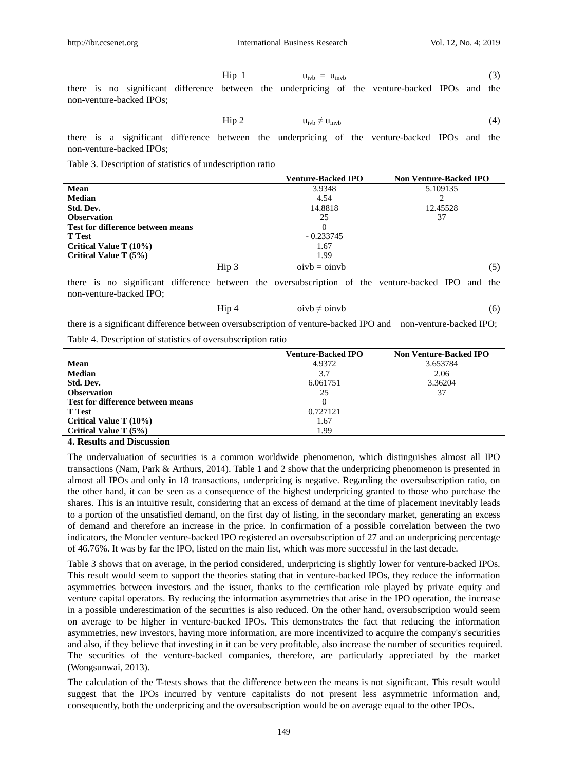$$
\text{Hip } 1 \qquad \qquad u_{\text{ivb}} = u_{\text{invb}} \tag{3}
$$

there is no significant difference between the underpricing of the venture-backed IPOs and the non-venture-backed IPOs;

$$
Hip 2 \t uivb \neq uinvb
$$
 (4)

there is a significant difference between the underpricing of the venture-backed IPOs and the non-venture-backed IPOs;

Table 3. Description of statistics of undescription ratio

|                                   |       | <b>Venture-Backed IPO</b> | <b>Non Venture-Backed IPO</b> |  |
|-----------------------------------|-------|---------------------------|-------------------------------|--|
| Mean                              |       | 3.9348                    | 5.109135                      |  |
| <b>Median</b>                     |       | 4.54                      |                               |  |
| Std. Dev.                         |       | 14.8818                   | 12.45528                      |  |
| <b>Observation</b>                |       | 25                        | 37                            |  |
| Test for difference between means |       | 0                         |                               |  |
| <b>T</b> Test                     |       | $-0.233745$               |                               |  |
| Critical Value T $(10\%)$         |       | 1.67                      |                               |  |
| Critical Value T $(5%)$           |       | 1.99                      |                               |  |
|                                   | Hip 3 | $oivb = oinvb$            | (5)                           |  |

there is no significant difference between the oversubscription of the venture-backed IPO and the non-venture-backed IPO;

$$
Hip 4 \t oivb \neq oinvb \t (6)
$$

there is a significant difference between oversubscription of venture-backed IPO and non-venture-backed IPO;

Table 4. Description of statistics of oversubscription ratio

|                                   | <b>Venture-Backed IPO</b> | <b>Non Venture-Backed IPO</b> |
|-----------------------------------|---------------------------|-------------------------------|
| <b>Mean</b>                       | 4.9372                    | 3.653784                      |
| <b>Median</b>                     | 3.7                       | 2.06                          |
| Std. Dev.                         | 6.061751                  | 3.36204                       |
| <b>Observation</b>                | 25                        | 37                            |
| Test for difference between means | 0                         |                               |
| <b>T</b> Test                     | 0.727121                  |                               |
| Critical Value T $(10\%)$         | 1.67                      |                               |
| Critical Value T (5%)             | 1.99                      |                               |
|                                   |                           |                               |

#### **4. Results and Discussion**

The undervaluation of securities is a common worldwide phenomenon, which distinguishes almost all IPO transactions (Nam, Park & Arthurs, 2014). Table 1 and 2 show that the underpricing phenomenon is presented in almost all IPOs and only in 18 transactions, underpricing is negative. Regarding the oversubscription ratio, on the other hand, it can be seen as a consequence of the highest underpricing granted to those who purchase the shares. This is an intuitive result, considering that an excess of demand at the time of placement inevitably leads to a portion of the unsatisfied demand, on the first day of listing, in the secondary market, generating an excess of demand and therefore an increase in the price. In confirmation of a possible correlation between the two indicators, the Moncler venture-backed IPO registered an oversubscription of 27 and an underpricing percentage of 46.76%. It was by far the IPO, listed on the main list, which was more successful in the last decade.

Table 3 shows that on average, in the period considered, underpricing is slightly lower for venture-backed IPOs. This result would seem to support the theories stating that in venture-backed IPOs, they reduce the information asymmetries between investors and the issuer, thanks to the certification role played by private equity and venture capital operators. By reducing the information asymmetries that arise in the IPO operation, the increase in a possible underestimation of the securities is also reduced. On the other hand, oversubscription would seem on average to be higher in venture-backed IPOs. This demonstrates the fact that reducing the information asymmetries, new investors, having more information, are more incentivized to acquire the company's securities and also, if they believe that investing in it can be very profitable, also increase the number of securities required. The securities of the venture-backed companies, therefore, are particularly appreciated by the market (Wongsunwai, 2013).

The calculation of the T-tests shows that the difference between the means is not significant. This result would suggest that the IPOs incurred by venture capitalists do not present less asymmetric information and, consequently, both the underpricing and the oversubscription would be on average equal to the other IPOs.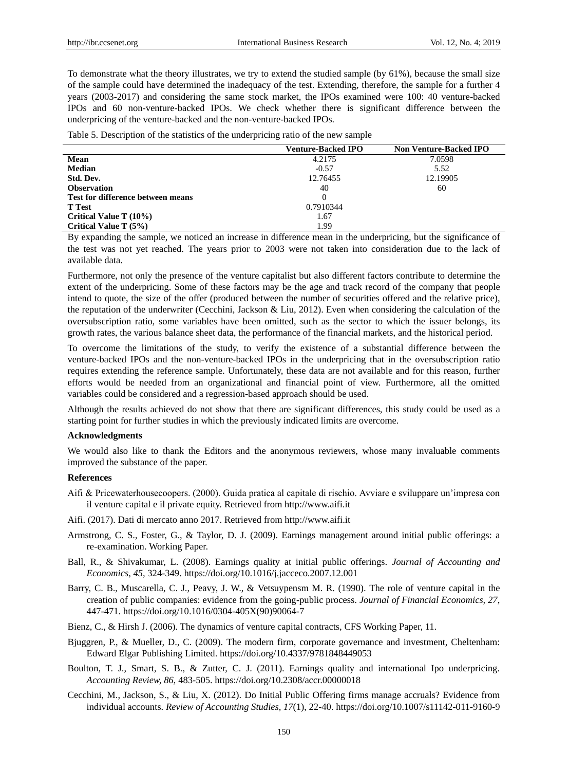To demonstrate what the theory illustrates, we try to extend the studied sample (by 61%), because the small size of the sample could have determined the inadequacy of the test. Extending, therefore, the sample for a further 4 years (2003-2017) and considering the same stock market, the IPOs examined were 100: 40 venture-backed IPOs and 60 non-venture-backed IPOs. We check whether there is significant difference between the underpricing of the venture-backed and the non-venture-backed IPOs.

Table 5. Description of the statistics of the underpricing ratio of the new sample

|                                          | <b>Venture-Backed IPO</b> | <b>Non Venture-Backed IPO</b> |
|------------------------------------------|---------------------------|-------------------------------|
| Mean                                     | 4.2175                    | 7.0598                        |
| <b>Median</b>                            | $-0.57$                   | 5.52                          |
| Std. Dev.                                | 12.76455                  | 12.19905                      |
| <b>Observation</b>                       | 40                        | 60                            |
| <b>Test for difference between means</b> | 0                         |                               |
| <b>T</b> Test                            | 0.7910344                 |                               |
| Critical Value T $(10\%)$                | 1.67                      |                               |
| Critical Value T $(5%)$                  | 1.99                      |                               |

By expanding the sample, we noticed an increase in difference mean in the underpricing, but the significance of the test was not yet reached. The years prior to 2003 were not taken into consideration due to the lack of available data.

Furthermore, not only the presence of the venture capitalist but also different factors contribute to determine the extent of the underpricing. Some of these factors may be the age and track record of the company that people intend to quote, the size of the offer (produced between the number of securities offered and the relative price), the reputation of the underwriter (Cecchini, Jackson & Liu, 2012). Even when considering the calculation of the oversubscription ratio, some variables have been omitted, such as the sector to which the issuer belongs, its growth rates, the various balance sheet data, the performance of the financial markets, and the historical period.

To overcome the limitations of the study, to verify the existence of a substantial difference between the venture-backed IPOs and the non-venture-backed IPOs in the underpricing that in the oversubscription ratio requires extending the reference sample. Unfortunately, these data are not available and for this reason, further efforts would be needed from an organizational and financial point of view. Furthermore, all the omitted variables could be considered and a regression-based approach should be used.

Although the results achieved do not show that there are significant differences, this study could be used as a starting point for further studies in which the previously indicated limits are overcome.

#### **Acknowledgments**

We would also like to thank the Editors and the anonymous reviewers, whose many invaluable comments improved the substance of the paper.

#### **References**

- Aifi & Pricewaterhousecoopers. (2000). Guida pratica al capitale di rischio. Avviare e sviluppare un'impresa con il venture capital e il private equity. Retrieved from http://www.aifi.it
- Aifi. (2017). Dati di mercato anno 2017. Retrieved from http://www.aifi.it
- Armstrong, C. S., Foster, G., & Taylor, D. J. (2009). Earnings management around initial public offerings: a re-examination. Working Paper.
- Ball, R., & Shivakumar, L. (2008). Earnings quality at initial public offerings. *Journal of Accounting and Economics, 45,* 324-349. https://doi.org/10.1016/j.jacceco.2007.12.001
- Barry, C. B., Muscarella, C. J., Peavy, J. W., & Vetsuypensm M. R. (1990). The role of venture capital in the creation of public companies: evidence from the going-public process. *Journal of Financial Economics, 27,*  447-471. [https://doi.org/10.1016/0304-405X\(90\)90064-7](https://doi.org/10.1016/0304-405X(90)90064-7)
- Bienz, C., & Hirsh J. (2006). The dynamics of venture capital contracts, CFS Working Paper, 11.
- Bjuggren, P., & Mueller, D., C. (2009). The modern firm, corporate governance and investment, Cheltenham: Edward Elgar Publishing Limited. https://doi.org/10.4337/9781848449053
- Boulton, T. J., Smart, S. B., & Zutter, C. J. (2011). Earnings quality and international Ipo underpricing. *Accounting Review, 86,* 483-505. https://doi.org/10.2308/accr.00000018
- Cecchini, M., Jackson, S., & Liu, X. (2012). Do Initial Public Offering firms manage accruals? Evidence from individual accounts. *Review of Accounting Studies, 17*(1), 22-40. https://doi.org/10.1007/s11142-011-9160-9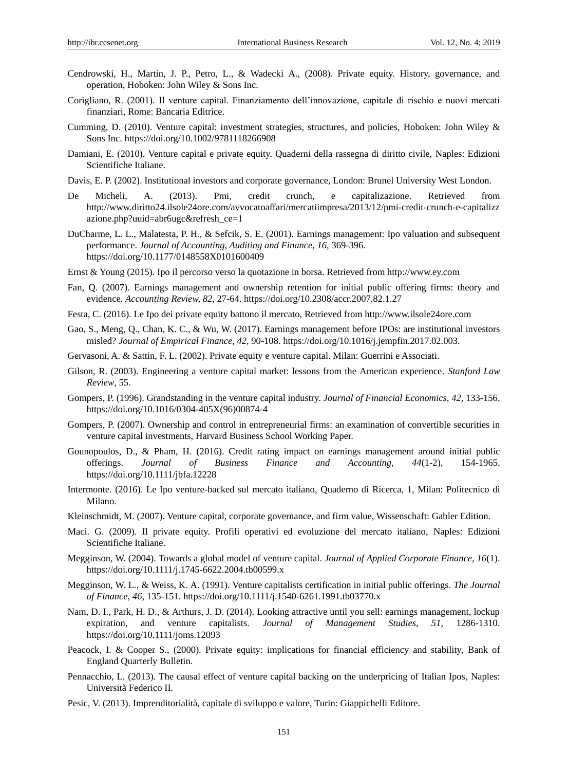- Cendrowski, H., Martin, J. P., Petro, L., & Wadecki A., (2008). Private equity. History, governance, and operation, Hoboken: John Wiley & Sons Inc.
- Corigliano, R. (2001). Il venture capital. Finanziamento dell'innovazione, capitale di rischio e nuovi mercati finanziari, Rome: Bancaria Editrice.
- Cumming, D. (2010). Venture capital: investment strategies, structures, and policies, Hoboken: John Wiley & Sons Inc. https://doi.org/10.1002/9781118266908
- Damiani, E. (2010). Venture capital e private equity. Quaderni della rassegna di diritto civile, Naples: Edizioni Scientifiche Italiane.
- Davis, E. P. (2002). Institutional investors and corporate governance, London: Brunel University West London.
- De Micheli, A. (2013). Pmi, credit crunch, e capitalizazione. Retrieved from http://www.diritto24.ilsole24ore.com/avvocatoaffari/mercatiimpresa/2013/12/pmi-credit-crunch-e-capitalizz azione.php?uuid=abr6ugc&refresh\_ce=1
- DuCharme, L. L., Malatesta, P. H., & Sefcik, S. E. (2001). Earnings management: Ipo valuation and subsequent performance. *Journal of Accounting, Auditing and Finance, 16,* 369-396. https://doi.org/10.1177/0148558X0101600409
- Ernst & Young (2015). Ipo il percorso verso la quotazione in borsa. Retrieved from http://www.ey.com
- Fan, Q. (2007). Earnings management and ownership retention for initial public offering firms: theory and evidence. *Accounting Review, 82,* 27-64. https://doi.org/10.2308/accr.2007.82.1.27
- Festa, C. (2016). Le Ipo dei private equity battono il mercato, Retrieved from http://www.ilsole24ore.com
- Gao, S., Meng, Q., Chan, K. C., & Wu, W. (2017). Earnings management before IPOs: are institutional investors misled? *Journal of Empirical Finance, 42,* 90-108. https://doi.org/10.1016/j.jempfin.2017.02.003.
- Gervasoni, A. & Sattin, F. L. (2002). Private equity e venture capital. Milan: Guerrini e Associati.
- Gilson, R. (2003). Engineering a venture capital market: lessons from the American experience. *Stanford Law Review*, 55.
- Gompers, P. (1996). Grandstanding in the venture capital industry. *Journal of Financial Economics, 42,* 133-156. https://doi.org/10.1016/0304-405X(96)00874-4
- Gompers, P. (2007). Ownership and control in entrepreneurial firms: an examination of convertible securities in venture capital investments, Harvard Business School Working Paper.
- Gounopoulos, D., & Pham, H. (2016). Credit rating impact on earnings management around initial public offerings. *Journal of Business Finance and Accounting, 44*(1-2), 154-1965. https://doi.org/10.1111/jbfa.12228
- Intermonte. (2016). Le Ipo venture-backed sul mercato italiano, Quaderno di Ricerca, 1, Milan: Politecnico di Milano.
- Kleinschmidt, M. (2007). Venture capital, corporate governance, and firm value, Wissenschaft: Gabler Edition.
- Maci. G. (2009). Il private equity. Profili operativi ed evoluzione del mercato italiano, Naples: Edizioni Scientifiche Italiane.
- Megginson, W. (2004). Towards a global model of venture capital. *Journal of Applied Corporate Finance, 16*(1). https://doi.org/10.1111/j.1745-6622.2004.tb00599.x
- Megginson, W. L., & Weiss, K. A. (1991). Venture capitalists certification in initial public offerings. *The Journal of Finance, 46,* 135-151. https://doi.org/10.1111/j.1540-6261.1991.tb03770.x
- Nam, D. I., Park, H. D., & Arthurs, J. D. (2014). Looking attractive until you sell: earnings management, lockup expiration, and venture capitalists. *Journal of Management Studies, 51,* 1286-1310. https://doi.org/10.1111/joms.12093
- Peacock, I. & Cooper S., (2000). Private equity: implications for financial efficiency and stability, Bank of England Quarterly Bulletin.
- Pennacchio, L. (2013). The causal effect of venture capital backing on the underpricing of Italian Ipos, Naples: Università Federico II.
- Pesic, V. (2013). Imprenditorialità capitale di sviluppo e valore, Turin: Giappichelli Editore.